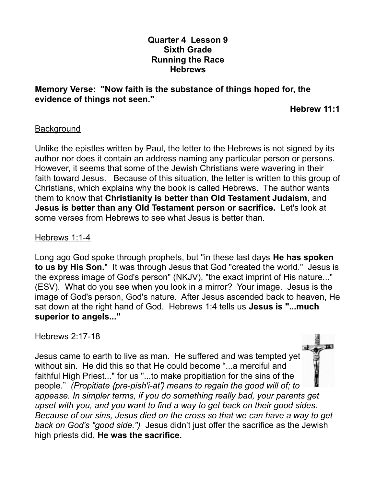## **Quarter 4 Lesson 9 Sixth Grade Running the Race Hebrews**

### **Memory Verse: "Now faith is the substance of things hoped for, the evidence of things not seen."**

 **Hebrew 11:1**

## **Background**

Unlike the epistles written by Paul, the letter to the Hebrews is not signed by its author nor does it contain an address naming any particular person or persons. However, it seems that some of the Jewish Christians were wavering in their faith toward Jesus. Because of this situation, the letter is written to this group of Christians, which explains why the book is called Hebrews. The author wants them to know that **Christianity is better than Old Testament Judaism**, and **Jesus is better than any Old Testament person or sacrifice.** Let's look at some verses from Hebrews to see what Jesus is better than.

#### Hebrews 1:1-4

Long ago God spoke through prophets, but "in these last days **He has spoken to us by His Son.**" It was through Jesus that God "created the world." Jesus is the express image of God's person" (NKJV), "the exact imprint of His nature..." (ESV). What do you see when you look in a mirror? Your image. Jesus is the image of God's person, God's nature. After Jesus ascended back to heaven, He sat down at the right hand of God. Hebrews 1:4 tells us **Jesus is "...much superior to angels..."**

## Hebrews 2:17-18

Jesus came to earth to live as man. He suffered and was tempted yet without sin. He did this so that He could become "...a merciful and faithful High Priest..." for us "...to make propitiation for the sins of the people." *(Propitiate {prə-pish'i-āt'} means to regain the good will of; to appease. In simpler terms, if you do something really bad, your parents get upset with you, and you want to find a way to get back on their good sides. Because of our sins, Jesus died on the cross so that we can have a way to get back on God's "good side.")* Jesus didn't just offer the sacrifice as the Jewish high priests did, **He was the sacrifice.**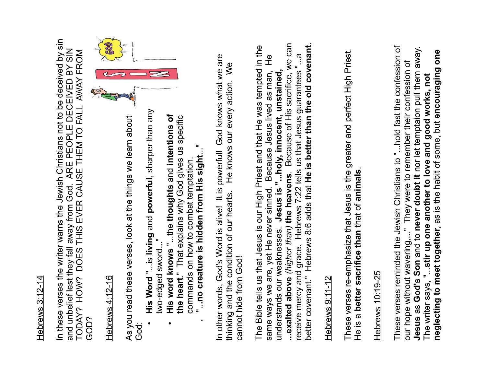## Hebrews 3:12-14 Hebrews 3:12-14

In these verses the writer warns the Jewish Christians not to be deceived by sin In these verses the writer warns the Jewish Christians not to be deceived by sin and unbelief lest they fall away from God. ARE PEOPLE DECEIVED BY SIN and unbelief lest they fall away from God. ARE PEOPLE DECEIVED BY SIN<br>TODAY? HOW? DOES THIS EVER CAUSE THEM TO FALL AWAY FROM TODAY? HOW? DOES THIS EVER CAUSE THEM TO FALL AWAY FROM GOD?

Hebrews 4:12-16

As you read these verses, look at the things we learn about God:

- **His Word** "...is **living** and **powerful**, sharper than any two-edged sword..."
	- **His word knows** "...the **thoughts** and **intentions of the heart**." That explains why God gives us specific commands on how to combat temptation.
		- **.** "..**.no creature is hidden from His sight**..."

In other words, God's Word is alive! It is powerful! God knows what we are thinking and the condition of our hearts. He knows our every action. We cannot hide from God!

The Bible tells us that Jesus is our High Priest and that He was tempted in the same ways we are, yet He never sinned. Because Jesus lived as man, He understands our weaknesses. **Jesus is "...holy, innocent, unstained, ...exalted above** *(higher than)* **the heavens**. Because of His sacrifice, we can receive mercy and grace. Hebrews 7:22 tells us that Jesus guarantees "...a better covenant." Hebrews 8:6 adds that **He is better than the old covenant**. **netword these verses, look at the things we learn about**<br> **helpews 4:12-16**<br>
As you read these verses, look at the things we learn about<br> **netword** "...is the grand powerful, sharper than any<br> **news** and knows "...the th

## Hebrews 9:11-12

These verses re-emphasize that Jesus is the greater and perfect High Priest. He is a **better sacrifice than** that of **animals**.

# Hebrews 10:19-25

These verses reminded the Jewish Christians to "...hold fast the confession of our hope without wavering,..." They were to remember their confession of **Jesus** as **God's Son** and to **never doubt it** nor let temptaion pull them away. The writer says, "...**stir up one another to love and good works, not**